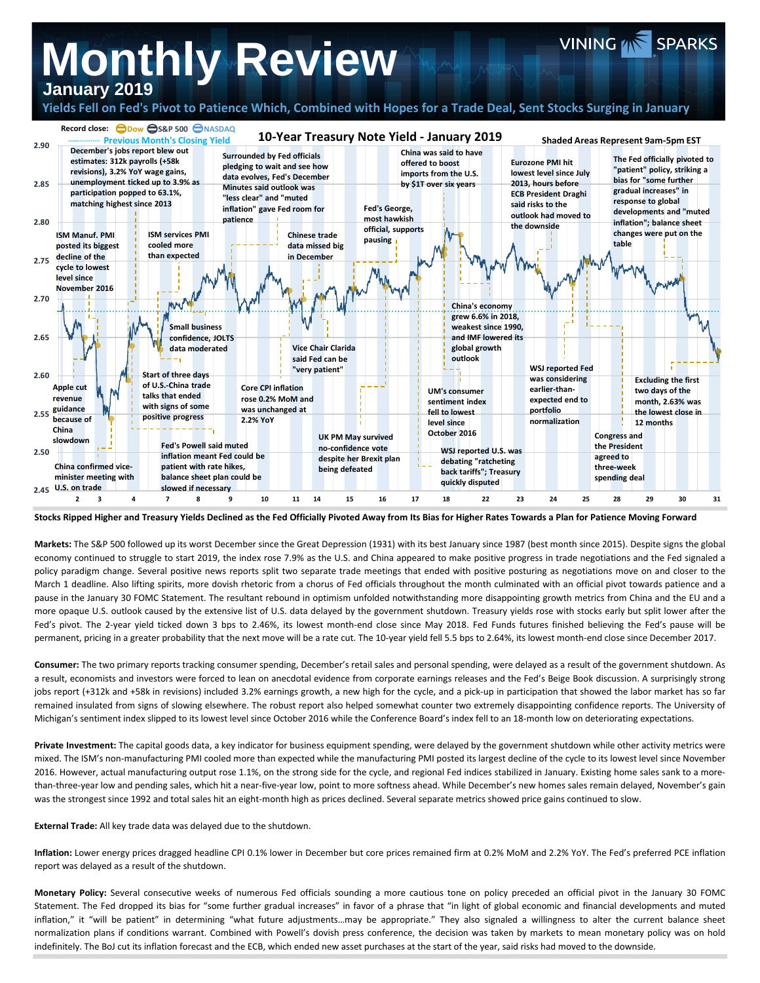## **Monthly Review January 2019**

## **Yields Fell on Fed's Pivot to Patience Which, Combined with Hopes for a Trade Deal, Sent Stocks Surging in January**

VINING **AN SPARKS** 



**Stocks Ripped Higher and Treasury Yields Declined as the Fed Officially Pivoted Away from Its Bias for Higher Rates Towards a Plan for Patience Moving Forward**

**Markets:** The S&P 500 followed up its worst December since the Great Depression (1931) with its best January since 1987 (best month since 2015). Despite signs the global economy continued to struggle to start 2019, the index rose 7.9% as the U.S. and China appeared to make positive progress in trade negotiations and the Fed signaled a policy paradigm change. Several positive news reports split two separate trade meetings that ended with positive posturing as negotiations move on and closer to the March 1 deadline. Also lifting spirits, more dovish rhetoric from a chorus of Fed officials throughout the month culminated with an official pivot towards patience and a pause in the January 30 FOMC Statement. The resultant rebound in optimism unfolded notwithstanding more disappointing growth metrics from China and the EU and a more opaque U.S. outlook caused by the extensive list of U.S. data delayed by the government shutdown. Treasury yields rose with stocks early but split lower after the Fed's pivot. The 2-year yield ticked down 3 bps to 2.46%, its lowest month-end close since May 2018. Fed Funds futures finished believing the Fed's pause will be permanent, pricing in a greater probability that the next move will be a rate cut. The 10-year yield fell 5.5 bps to 2.64%, its lowest month-end close since December 2017.

**Consumer:** The two primary reports tracking consumer spending, December's retail sales and personal spending, were delayed as a result of the government shutdown. As a result, economists and investors were forced to lean on anecdotal evidence from corporate earnings releases and the Fed's Beige Book discussion. A surprisingly strong jobs report (+312k and +58k in revisions) included 3.2% earnings growth, a new high for the cycle, and a pick-up in participation that showed the labor market has so far remained insulated from signs of slowing elsewhere. The robust report also helped somewhat counter two extremely disappointing confidence reports. The University of Michigan's sentiment index slipped to its lowest level since October 2016 while the Conference Board's index fell to an 18-month low on deteriorating expectations.

**Private Investment:** The capital goods data, a key indicator for business equipment spending, were delayed by the government shutdown while other activity metrics were mixed. The ISM's non-manufacturing PMI cooled more than expected while the manufacturing PMI posted its largest decline of the cycle to its lowest level since November 2016. However, actual manufacturing output rose 1.1%, on the strong side for the cycle, and regional Fed indices stabilized in January. Existing home sales sank to a morethan-three-year low and pending sales, which hit a near-five-year low, point to more softness ahead. While December's new homes sales remain delayed, November's gain was the strongest since 1992 and total sales hit an eight-month high as prices declined. Several separate metrics showed price gains continued to slow.

**External Trade:** All key trade data was delayed due to the shutdown.

**Inflation:** Lower energy prices dragged headline CPI 0.1% lower in December but core prices remained firm at 0.2% MoM and 2.2% YoY. The Fed's preferred PCE inflation report was delayed as a result of the shutdown.

**Monetary Policy:** Several consecutive weeks of numerous Fed officials sounding a more cautious tone on policy preceded an official pivot in the January 30 FOMC Statement. The Fed dropped its bias for "some further gradual increases" in favor of a phrase that "in light of global economic and financial developments and muted inflation," it "will be patient" in determining "what future adjustments...may be appropriate." They also signaled a willingness to alter the current balance sheet normalization plans if conditions warrant. Combined with Powell's dovish press conference, the decision was taken by markets to mean monetary policy was on hold indefinitely. The BoJ cut its inflation forecast and the ECB, which ended new asset purchases at the start of the year, said risks had moved to the downside.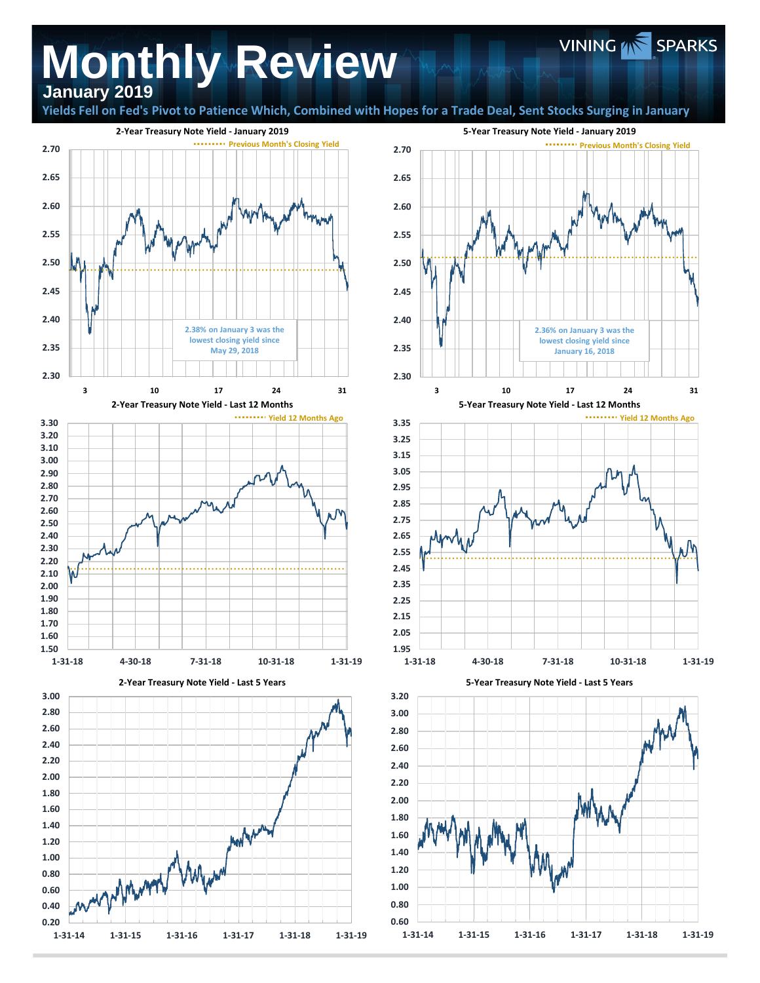## **Monthly Review January 2019**

**Yields Fell on Fed's Pivot to Patience Which, Combined with Hopes for a Trade Deal, Sent Stocks Surging in January**





VINING **WE** SPARKS